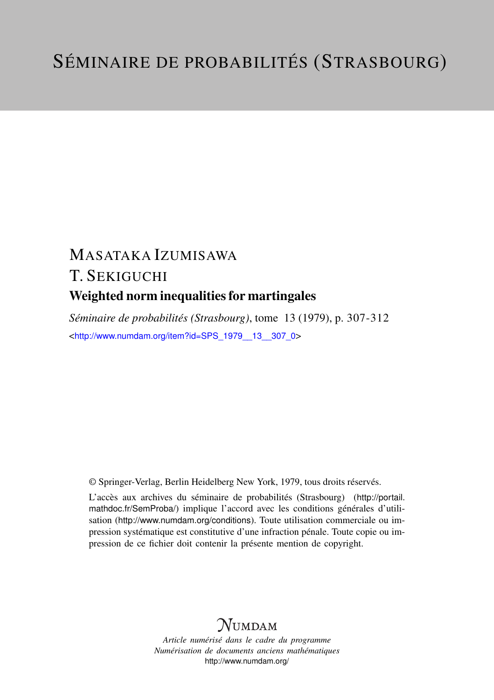## MASATAKA IZUMISAWA T. SEKIGUCHI Weighted norm inequalities for martingales

*Séminaire de probabilités (Strasbourg)*, tome 13 (1979), p. 307-312 <[http://www.numdam.org/item?id=SPS\\_1979\\_\\_13\\_\\_307\\_0](http://www.numdam.org/item?id=SPS_1979__13__307_0)>

© Springer-Verlag, Berlin Heidelberg New York, 1979, tous droits réservés.

L'accès aux archives du séminaire de probabilités (Strasbourg) ([http://portail.](http://portail.mathdoc.fr/SemProba/) [mathdoc.fr/SemProba/](http://portail.mathdoc.fr/SemProba/)) implique l'accord avec les conditions générales d'utilisation (<http://www.numdam.org/conditions>). Toute utilisation commerciale ou impression systématique est constitutive d'une infraction pénale. Toute copie ou impression de ce fichier doit contenir la présente mention de copyright.

## **NUMDAM**

*Article numérisé dans le cadre du programme Numérisation de documents anciens mathématiques* <http://www.numdam.org/>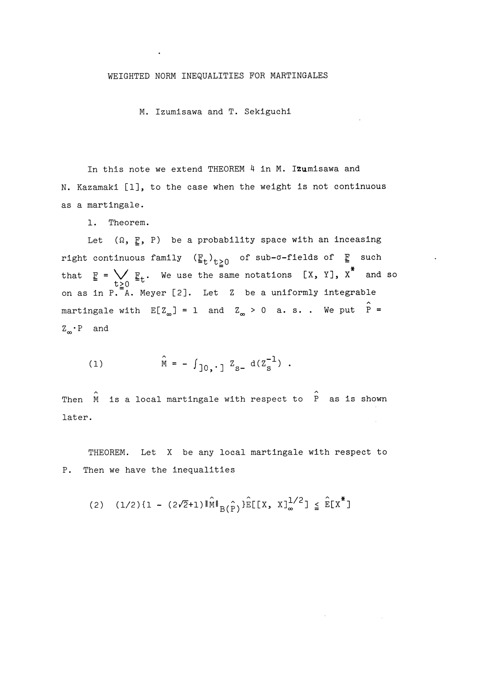## WEIGHTED NORM INEQUALITIES FOR MARTINGALES

M. Izumisawa and T. Sekiguchi

In this note we extend THEOREM 4 in M. Izumisawa and N. Kazamaki [1], to the case when the weight is not continuous as a martingale.

1. Theorem.

Let  $(\Omega, F, P)$  be a probability space with an inceasing right continuous family  $(\underline{\mathbb{F}}_t)_{t\geqq 0}$  of sub- $\sigma$ -fields of  $\underline{\mathbb{F}}$  such that  $\underline{F} = \bigvee_{t \geq 0} \underline{F}_t$ . We use the same notations  $[X, Y]$ ,  $X^*$  and so on as in  $P.\overline{\mathbb{A}}$ . Meyer [2]. Let Z be a uniformly integrable martingale with  $E[Z_{\infty}] = 1$  and  $Z_{\infty} > 0$  a.s.. We put  $\hat{P} =$  $Z_{\infty} \cdot P$  and

(1) 
$$
\hat{M} = - \int_{0}^{1} z_{s} d(z_s^{-1})
$$
.

Then M is a local martingale with respect to P as is shown later.

THEOREM. Let X be any local martingale with respect to P. Then we have the inequalities

(2) 
$$
(1/2)\{1 - (2\sqrt{2}+1)\|\hat{M}\|_{B(\hat{P})}\}\hat{E}[[X, X]_{\infty}^{1/2}] \leq \hat{E}[X^*]
$$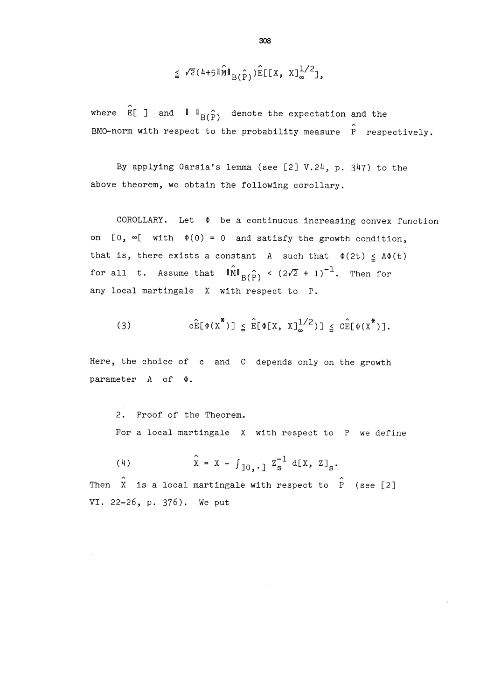$$
\leq \sqrt{2}(4+5\|\widehat{\mathbf{M}}\|_{\mathbf{B}(\widehat{\mathbf{P}})})\widehat{\mathbf{E}}\llbracket \llbracket \mathbf{X}, \; \mathbf{X} \rrbracket_{\infty}^{1/2} \rrbracket,
$$

where  $\hat{E}$  ] and  $\|$   $\|$   $\mathsf{B}(\hat{\mathsf{p}})$  denote the expectation and the BMO-norm with respect to the probability measure  $\hat{P}$  respectively.

By applying Garsia's lemma (see [2] V.24, p. 347) to the above theorem, we obtain the following corollary.

COROLLARY. Let  $\Phi$  be a continuous increasing convex function on  $[0, \infty[$  with  $\Phi(0) = 0$  and satisfy the growth condition, that is, there exists a constant A such that  $\Phi(2t) \leq A\Phi(t)$ for all t. Assume that  $\|\hat{\mathbf{M}}\|_{\text{B}(\hat{P})} < (2\sqrt{2} + 1)^{-1}$ . Then for any local martingale X with respect to P.

(3) 
$$
c\widehat{E}[\Phi(X^*)] \leq \widehat{E}[\Phi[X, X]_{\infty}^{1/2}] \leq c\widehat{E}[\Phi(X^*)].
$$

Here, the choice of c and C depends only on the growth parameter  $A$  of  $\Phi$ .

2. Proof of the Theorem. For a local martingale X with respect to P we define

(4) 
$$
\hat{x} = x - \int_{0}^{x} z_s^2 d[x, z]_s
$$

Then X is a local martingale with respect to P (see [2] VI. 22-26, p. 376). We put

$$
308 \\
$$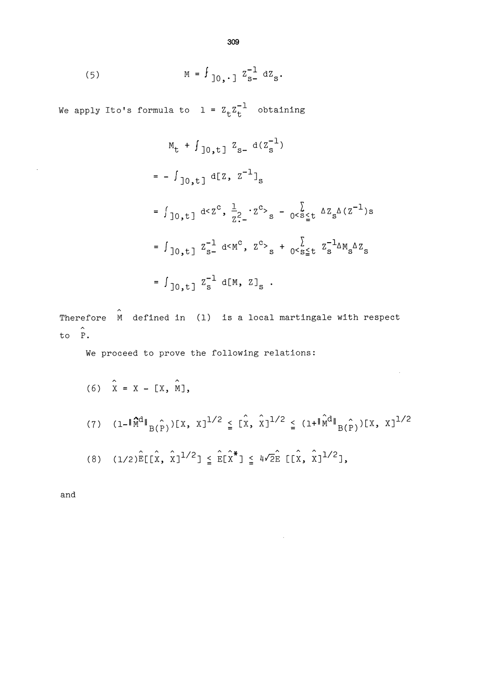(5) 
$$
M = f_{0,1} z_{s}^{-1} dz_{s}
$$

We apply Ito's formula to  $1 = Z_t Z_t^{-1}$  obtaining

$$
M_{t} + \int_{0,t}^{t} Z_{s-} d(Z_{s}^{-1})
$$
\n
$$
= - \int_{0,t}^{t} d[Z, Z^{-1}]_{s}
$$
\n
$$
= \int_{0,t}^{t} d(Z^{c}, \frac{1}{Z^{2}} \cdot Z^{c} )_{s} - \int_{0}^{t} \sum_{s=1}^{t} \Delta Z_{s} \Delta(Z^{-1})_{s}
$$
\n
$$
= \int_{0,t}^{t} Z_{s-}^{-1} d(M^{c}, Z^{c} )_{s} + \int_{0}^{t} \sum_{s=1}^{t} Z_{s-}^{-1} \Delta M_{s} \Delta Z_{s}
$$
\n
$$
= \int_{0,t}^{t} Z_{s}^{-1} d[M, Z]_{s} .
$$

Therefore  $\stackrel{\frown}{M}$  defined in (1) is a local martingale with respect to P.

We proceed to prove the following relations:

(6) 
$$
\hat{x} = x - [x, \hat{m}],
$$
  
\n(7)  $(1 - \|\hat{M}^d\|_{B(\hat{P})}) [x, x]^{1/2} \leq [\hat{x}, \hat{x}]^{1/2} \leq (1 + \|\hat{M}^d\|_{B(\hat{P})}) [x, x]^{1/2}$   
\n(8)  $(1/2)\hat{E}[(\hat{x}, \hat{x}]^{1/2}] \leq \hat{E}[\hat{x}^*] \leq 4\sqrt{2}\hat{E} [(\hat{x}, \hat{x}]^{1/2}],$ 

 $\bar{z}$ 

and

 $\mathcal{A}^{\mathcal{A}}$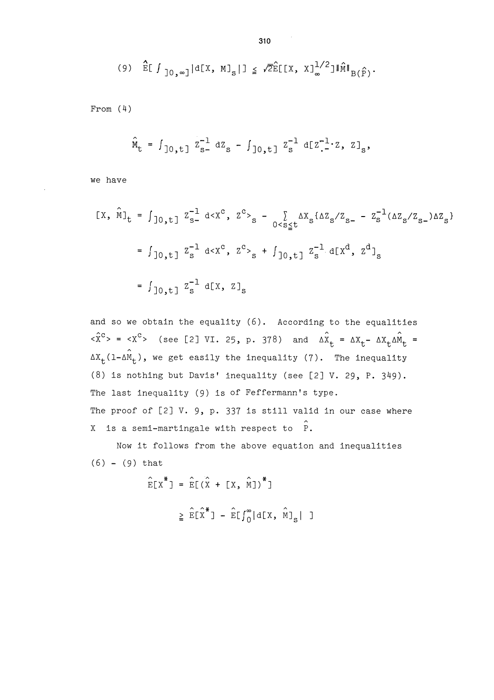$$
(9) \quad \widehat{\mathbb{E}}[f]_{0,\infty} \, d[X, M]_{s} | \, \leq \sqrt{2} \widehat{\mathbb{E}}[X, X]_{\infty}^{1/2} \, d\widehat{M} \|_{B(\widehat{F})}.
$$

From (4)

$$
\hat{\mathbf{M}}_{t} = \int_{0,t} z_{s-}^{-1} dz_{s} - \int_{0,t} z_{s}^{-1} d[z_{-}^{-1}z, z]_{s},
$$

we have

$$
[x, \hat{M}]_{t} = \int_{0,t} z_{s}^{-1} d \langle x^{c}, z^{c} \rangle_{s} - \sum_{0 < s \leq t} \Delta x_{s} \{ \Delta z_{s} / z_{s-} - z_{s}^{-1} (\Delta z_{s} / z_{s-}) \Delta z_{s} \}
$$
\n
$$
= \int_{0,t} z_{s}^{-1} d \langle x^{c}, z^{c} \rangle_{s} + \int_{0,t} z_{s}^{-1} d[x^{d}, z^{d}]_{s}
$$
\n
$$
= \int_{0,t} z_{s}^{-1} d[x, z]_{s}
$$

and so we obtain the equality (6). According to the equalities  $\langle x^c \rangle$  =  $\langle x^c \rangle$  (see [2] VI. 25, p. 378) and  $\Delta \hat{x}_t = \Delta x_t - \Delta x_t \Delta \hat{m}_t =$  $\Delta X_t(1-\Delta \hat{M}_t)$ , we get easily the inequality (7). The inequality (8) is nothing but Davis' inequality (see [2] V. 29, P. 349). The last Inequality (9) is of Feffermann's type. The proof of  $[2]$  V. 9, p. 337 is still valid in our case where X is a semi-martingale with respect to  $\hat{P}$ .

Now it follows from the above equation and inequalities  $(6) - (9)$  that

$$
\hat{E}[x^*] = \hat{E}[(\hat{x} + [x, \hat{m}])^*]
$$
  

$$
\geq \hat{E}[\hat{x}^*] - \hat{E}[f_0^{\infty}|\text{d}[x, \hat{m}]_{s}]
$$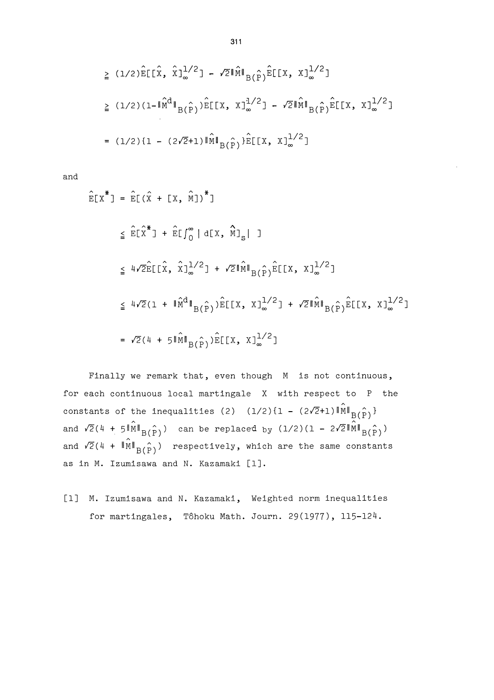$$
\geq (1/2)\hat{E}[\hat{x}, \hat{x}]_{\infty}^{1/2}] - \sqrt{2}\|\hat{M}\|_{B(\hat{P})}\hat{E}[[x, x]_{\infty}^{1/2}]
$$
\n
$$
\geq (1/2)(1 - \|\hat{M}^{d}\|_{B(\hat{P})})\hat{E}[[x, x]_{\infty}^{1/2}] - \sqrt{2}\|\hat{M}\|_{B(\hat{P})}\hat{E}[[x, x]_{\infty}^{1/2}]
$$
\n
$$
= (1/2)\{1 - (2\sqrt{2}+1)\|\hat{M}\|_{B(\hat{P})}\}\hat{E}[[x, x]_{\infty}^{1/2}]
$$

and

$$
\hat{E}[x^*] = \hat{E}[(\hat{x} + [x, \hat{M}])^*]
$$
\n
$$
\leq \hat{E}[\hat{x}^*] + \hat{E}[\int_0^\infty | d[x, \hat{M}]_s | ]
$$
\n
$$
\leq 4\sqrt{2}\hat{E}[(\hat{x}, \hat{x})_{\infty}^{1/2}] + \sqrt{2}\|\hat{M}\|_{B(\hat{P})}\hat{E}[[X, x]_{\infty}^{1/2}]
$$
\n
$$
\leq 4\sqrt{2}(1 + \|\hat{M}^d\|_{B(\hat{P})})\hat{E}[[X, x]_{\infty}^{1/2}] + \sqrt{2}\|\hat{M}\|_{B(\hat{P})}\hat{E}[[X, x]_{\infty}^{1/2}]
$$
\n
$$
= \sqrt{2}(4 + 5\|\hat{M}\|_{B(\hat{P})})\hat{E}[[X, x]_{\infty}^{1/2}]
$$

Finally we remark that, even though M is not continuous, for each continuous local martingale X with respect to P the constants of the inequalities (2)  $(1/2)\{1 - (2\sqrt{2}+1) \|\hat{M}\|_{B(\hat{P})}\}$ and  $\sqrt{2}(4 + 5 \|\hat{M}\|_{B(\hat{P})})$  can be replaced by  $(1/2)(1 - 2\sqrt{2}\|\hat{M}\|_{B(\hat{P})})$ and  $\sqrt{2}(4 + \|\hat{M}\|_{B(\hat{P})})$  respectively, which are the same constants as in M. Izumisawa and N. Kazamaki [1].

[1] M. Izumisawa and N. Kazamaki, Weighted norm inequalities for martingales, Tôhoku Math. Journ. 29(1977), 115-124.